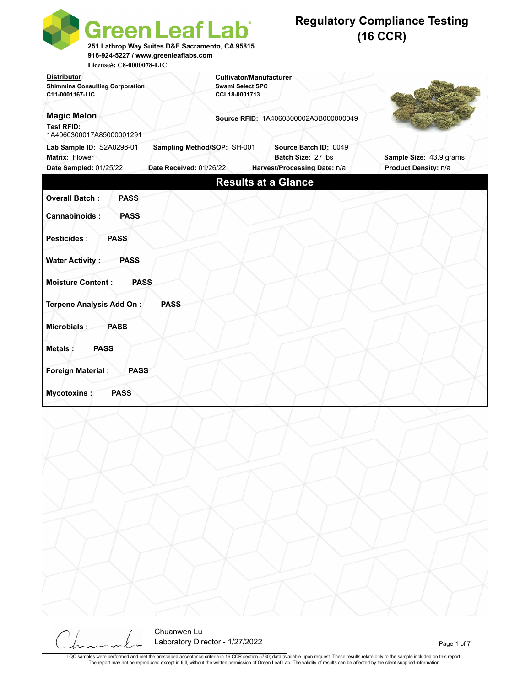| <b>Green Leaf Lab</b><br>251 Lathrop Way Suites D&E Sacramento, CA 95815<br>916-924-5227 / www.greenleaflabs.com<br>License#: C8-0000078-LIC |                                                                            |                                             | <b>Regulatory Compliance Testing</b><br>$(16$ CCR) |
|----------------------------------------------------------------------------------------------------------------------------------------------|----------------------------------------------------------------------------|---------------------------------------------|----------------------------------------------------|
| <b>Distributor</b><br><b>Shimmins Consulting Corporation</b><br>C11-0001167-LIC                                                              | <b>Cultivator/Manufacturer</b><br><b>Swami Select SPC</b><br>CCL18-0001713 |                                             |                                                    |
| <b>Magic Melon</b><br><b>Test RFID:</b><br>1A4060300017A85000001291                                                                          |                                                                            | Source RFID: 1A4060300002A3B000000049       |                                                    |
| Lab Sample ID: S2A0296-01<br>Sampling Method/SOP: SH-001<br>Matrix: Flower<br>Date Sampled: 01/25/22<br>Date Received: 01/26/22              |                                                                            | Source Batch ID: 0049<br>Batch Size: 27 lbs | Sample Size: 43.9 grams<br>Product Density: n/a    |
|                                                                                                                                              |                                                                            | Harvest/Processing Date: n/a                |                                                    |
|                                                                                                                                              | <b>Results at a Glance</b>                                                 |                                             |                                                    |
| <b>Overall Batch:</b><br><b>PASS</b>                                                                                                         |                                                                            |                                             |                                                    |
| Cannabinoids:<br><b>PASS</b>                                                                                                                 |                                                                            |                                             |                                                    |
| <b>Pesticides:</b><br><b>PASS</b>                                                                                                            |                                                                            |                                             |                                                    |
| <b>Water Activity:</b><br><b>PASS</b>                                                                                                        |                                                                            |                                             |                                                    |
| <b>Moisture Content:</b><br><b>PASS</b>                                                                                                      |                                                                            |                                             |                                                    |
| Terpene Analysis Add On:<br><b>PASS</b>                                                                                                      |                                                                            |                                             |                                                    |
| Microbials:<br><b>PASS</b>                                                                                                                   |                                                                            |                                             |                                                    |
| <b>PASS</b><br><b>Metals:</b>                                                                                                                |                                                                            |                                             |                                                    |
| <b>Foreign Material:</b><br><b>PASS</b>                                                                                                      |                                                                            |                                             |                                                    |
| <b>PASS</b><br><b>Mycotoxins:</b>                                                                                                            |                                                                            |                                             |                                                    |
|                                                                                                                                              |                                                                            |                                             |                                                    |
|                                                                                                                                              |                                                                            |                                             |                                                    |

Chuanwen Lu Laboratory Director - 1/27/2022 **Page 1 of 7**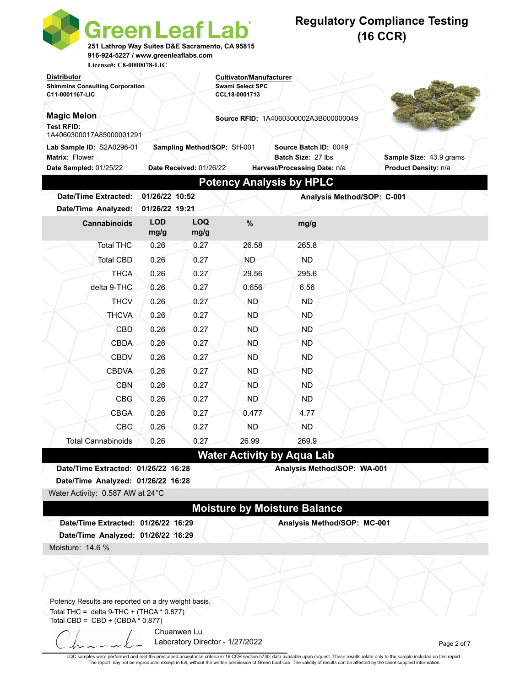| <b>Green Leaf Lab</b><br>251 Lathrop Way Suites D&E Sacramento, CA 95815<br>916-924-5227 / www.greenleaflabs.com |                              |                             |                                       |                                     | <b>Regulatory Compliance Testing</b><br>$(16$ CCR) |
|------------------------------------------------------------------------------------------------------------------|------------------------------|-----------------------------|---------------------------------------|-------------------------------------|----------------------------------------------------|
| License#: C8-0000078-LIC<br><b>Distributor</b>                                                                   |                              |                             | <b>Cultivator/Manufacturer</b>        |                                     |                                                    |
| <b>Shimmins Consulting Corporation</b>                                                                           |                              |                             | <b>Swami Select SPC</b>               |                                     |                                                    |
| C11-0001167-LIC                                                                                                  |                              |                             | CCL18-0001713                         |                                     |                                                    |
| <b>Magic Melon</b>                                                                                               |                              |                             | Source RFID: 1A4060300002A3B000000049 |                                     |                                                    |
| <b>Test RFID:</b><br>1A4060300017A85000001291                                                                    |                              |                             |                                       |                                     |                                                    |
| Lab Sample ID: S2A0296-01                                                                                        |                              | Sampling Method/SOP: SH-001 |                                       | Source Batch ID: 0049               |                                                    |
| Matrix: Flower                                                                                                   |                              |                             |                                       | Batch Size: 27 lbs                  | Sample Size: 43.9 grams                            |
| <b>Date Sampled: 01/25/22</b>                                                                                    |                              | Date Received: 01/26/22     |                                       | Harvest/Processing Date: n/a        | Product Density: n/a                               |
|                                                                                                                  |                              |                             |                                       | <b>Potency Analysis by HPLC</b>     |                                                    |
| <b>Date/Time Extracted:</b>                                                                                      | 01/26/22 10:52               |                             |                                       | Analysis Method/SOP: C-001          |                                                    |
| Date/Time Analyzed:<br><b>Cannabinoids</b>                                                                       | 01/26/22 19:21<br><b>LOD</b> | <b>LOQ</b>                  | %                                     |                                     |                                                    |
|                                                                                                                  | mg/g                         | mg/g                        |                                       | mg/g                                |                                                    |
| <b>Total THC</b>                                                                                                 | 0.26                         | 0.27                        | 26.58                                 | 265.8                               |                                                    |
| <b>Total CBD</b>                                                                                                 | 0.26                         | 0.27                        | <b>ND</b>                             | <b>ND</b>                           |                                                    |
| <b>THCA</b>                                                                                                      | 0.26                         | 0.27                        | 29.56                                 | 295.6                               |                                                    |
| delta 9-THC                                                                                                      | 0.26                         | 0.27                        | 0.656                                 | 6.56                                |                                                    |
| <b>THCV</b>                                                                                                      | 0.26                         | 0.27                        | ND.                                   | <b>ND</b>                           |                                                    |
| <b>THCVA</b>                                                                                                     | 0.26                         | 0.27                        | <b>ND</b>                             | ND.                                 |                                                    |
| CBD                                                                                                              | 0.26                         | 0.27                        | ND.                                   | ND                                  |                                                    |
| <b>CBDA</b>                                                                                                      | 0.26                         | 0.27                        | ND                                    | ND.                                 |                                                    |
| <b>CBDV</b>                                                                                                      | 0.26                         | 0.27                        | <b>ND</b>                             | <b>ND</b>                           |                                                    |
| <b>CBDVA</b>                                                                                                     | 0.26                         | 0.27                        | ND                                    | ND.                                 |                                                    |
| CBN                                                                                                              | 0.26                         | 0.27                        | <b>ND</b>                             | <b>ND</b>                           |                                                    |
| <b>CBG</b>                                                                                                       | 0.26                         | 0.27                        | ND.                                   | ND                                  |                                                    |
| <b>CBGA</b>                                                                                                      | 0.26                         | 0.27                        | 0.477                                 | 4.77                                |                                                    |
| <b>CBC</b>                                                                                                       | 0.26                         | 0.27                        | ND                                    | ND.                                 |                                                    |
| <b>Total Cannabinoids</b>                                                                                        | 0.26                         | 0.27                        | 26.99                                 | 269.9                               |                                                    |
|                                                                                                                  |                              |                             |                                       | <b>Water Activity by Aqua Lab</b>   |                                                    |
| Date/Time Extracted: 01/26/22 16:28                                                                              |                              |                             |                                       | Analysis Method/SOP: WA-001         |                                                    |
| Date/Time Analyzed: 01/26/22 16:28                                                                               |                              |                             |                                       |                                     |                                                    |
| Water Activity: 0.587 AW at 24°C                                                                                 |                              |                             |                                       |                                     |                                                    |
|                                                                                                                  |                              |                             |                                       | <b>Moisture by Moisture Balance</b> |                                                    |
| Date/Time Extracted: 01/26/22 16:29                                                                              |                              |                             |                                       | Analysis Method/SOP: MC-001         |                                                    |
| Date/Time Analyzed: 01/26/22 16:29                                                                               |                              |                             |                                       |                                     |                                                    |
| Moisture: 14.6 %                                                                                                 |                              |                             |                                       |                                     |                                                    |
|                                                                                                                  |                              |                             |                                       |                                     |                                                    |
|                                                                                                                  |                              |                             |                                       |                                     |                                                    |
|                                                                                                                  |                              |                             |                                       |                                     |                                                    |
| Potency Results are reported on a dry weight basis.<br>Total THC = delta $9$ -THC + (THCA $*$ 0.877)             |                              |                             |                                       |                                     |                                                    |
| Total CBD = $CBD + (CBDA * 0.877)$                                                                               |                              |                             |                                       |                                     |                                                    |
|                                                                                                                  |                              | Chuanwen Lu                 |                                       |                                     |                                                    |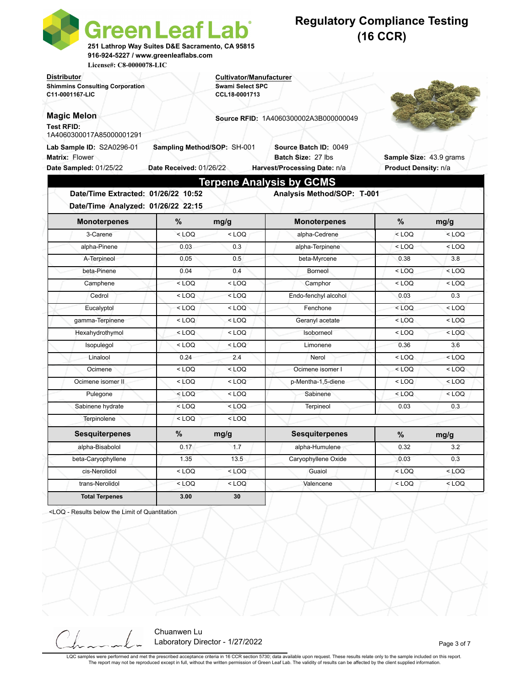| <b>Green Leaf Lab</b><br>251 Lathrop Way Suites D&E Sacramento, CA 95815<br>916-924-5227 / www.greenleaflabs.com<br>License#: C8-0000078-LIC |                                                        |                                                           | <b>Regulatory Compliance Testing</b>         | $(16$ CCR)              |         |  |
|----------------------------------------------------------------------------------------------------------------------------------------------|--------------------------------------------------------|-----------------------------------------------------------|----------------------------------------------|-------------------------|---------|--|
| <b>Distributor</b><br><b>Shimmins Consulting Corporation</b>                                                                                 |                                                        | <b>Cultivator/Manufacturer</b><br><b>Swami Select SPC</b> |                                              |                         |         |  |
| C11-0001167-LIC                                                                                                                              |                                                        | CCL18-0001713                                             |                                              |                         |         |  |
| <b>Magic Melon</b><br><b>Test RFID:</b><br>1A4060300017A85000001291                                                                          |                                                        |                                                           | <b>Source RFID: 1A4060300002A3B000000049</b> |                         |         |  |
| Lab Sample ID: S2A0296-01<br><b>Matrix: Flower</b>                                                                                           | Sampling Method/SOP: SH-001<br>Date Received: 01/26/22 |                                                           | Source Batch ID: 0049<br>Batch Size: 27 lbs  | Sample Size: 43.9 grams |         |  |
| Date Sampled: 01/25/22                                                                                                                       |                                                        |                                                           | Harvest/Processing Date: n/a                 | Product Density: n/a    |         |  |
|                                                                                                                                              |                                                        |                                                           | <b>Terpene Analysis by GCMS</b>              |                         |         |  |
| Date/Time Extracted: 01/26/22 10:52<br>Date/Time Analyzed: 01/26/22 22:15                                                                    |                                                        |                                                           | Analysis Method/SOP: T-001                   |                         |         |  |
| <b>Monoterpenes</b>                                                                                                                          | %                                                      | mg/g                                                      | <b>Monoterpenes</b>                          | %                       | mg/g    |  |
| 3-Carene                                                                                                                                     | $<$ LOQ                                                | $<$ LOQ                                                   | alpha-Cedrene                                | $<$ LOQ                 | $<$ LOQ |  |
| alpha-Pinene                                                                                                                                 | 0.03                                                   | 0.3                                                       | alpha-Terpinene                              | $<$ LOQ                 | $<$ LOQ |  |
| A-Terpineol                                                                                                                                  | 0.05                                                   | 0.5                                                       | beta-Myrcene                                 | 0.38                    | 3.8     |  |
| beta-Pinene                                                                                                                                  | 0.04                                                   | 0.4                                                       | Borneol                                      | $<$ LOQ                 | $<$ LOQ |  |
| Camphene                                                                                                                                     | $<$ LOQ                                                | $<$ LOQ                                                   | Camphor                                      | $<$ LOQ                 | $<$ LOQ |  |
| Cedrol                                                                                                                                       | $<$ LOQ                                                | $<$ LOQ                                                   | Endo-fenchyl alcohol                         | 0.03                    | 0.3     |  |
| Eucalyptol                                                                                                                                   | $<$ LOQ                                                | $<$ LOQ                                                   | Fenchone                                     | $<$ LOQ                 | $<$ LOQ |  |
| gamma-Terpinene                                                                                                                              | $<$ LOQ                                                | $<$ LOQ                                                   | Geranyl acetate                              | $<$ LOQ                 | $<$ LOQ |  |
| Hexahydrothymol                                                                                                                              | $<$ LOQ                                                | $<$ LOQ                                                   | Isoborneol                                   | $<$ LOQ                 | $<$ LOQ |  |
| Isopulegol                                                                                                                                   | $<$ LOO                                                | $<$ LOQ                                                   | Limonene                                     | 0.36                    | 3.6     |  |
| Linalool                                                                                                                                     | 0.24                                                   | 2.4                                                       | Nerol                                        | $<$ LOQ                 | $<$ LOQ |  |
|                                                                                                                                              | $<$ LOQ                                                | $<$ LOQ                                                   | Ocimene isomer I                             | $<$ LOQ                 | $<$ LOQ |  |
| Ocimene                                                                                                                                      |                                                        |                                                           |                                              |                         |         |  |
| Ocimene isomer II                                                                                                                            | $<$ LOQ                                                | $<$ LOQ                                                   | p-Mentha-1,5-diene                           | $<$ LOQ                 | $<$ LOQ |  |
| Pulegone                                                                                                                                     | $<$ LOQ                                                | $<$ LOQ                                                   | Sabinene                                     | $<$ LOQ                 | $<$ LOQ |  |
| Sabinene hydrate                                                                                                                             | $<$ LOQ                                                | $<$ LOQ                                                   | Terpineol                                    | 0.03                    | 0.3     |  |
| Terpinolene                                                                                                                                  | $<$ LOQ                                                | $<$ LOQ                                                   |                                              |                         |         |  |
| <b>Sesquiterpenes</b>                                                                                                                        | $\%$                                                   | mg/g                                                      | <b>Sesquiterpenes</b>                        | $\%$                    | mg/g    |  |
| alpha-Bisabolol                                                                                                                              | 0.17                                                   | 1.7                                                       | alpha-Humulene                               | 0.32                    | 3.2     |  |
| beta-Caryophyllene                                                                                                                           | 1.35                                                   | 13.5                                                      | Caryophyllene Oxide                          | 0.03                    | 0.3     |  |
| cis-Nerolidol                                                                                                                                | $<$ LOQ                                                | $<$ LOQ                                                   | Guaiol                                       | $<$ LOQ                 | $<$ LOQ |  |

<LOQ - Results below the Limit of Quantitation

Chuanwen Lu Laboratory Director - 1/27/2022 and 2010 and 2010 and 2010 and 2010 and 2010 and 2010 and 2010 and 2011 and 20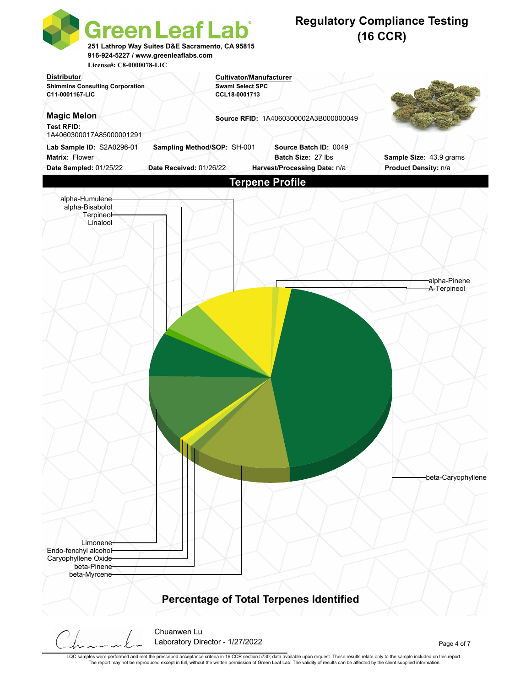

LQC samples were performed and met the prescribed acceptance criteria in 16 CCR section 5730; data available upon request. These results relate only to the sample included on this report. The report may not be reproduced except in full, without the written permission of Green Leaf Lab. The validity of results can be affected by the client supplied information.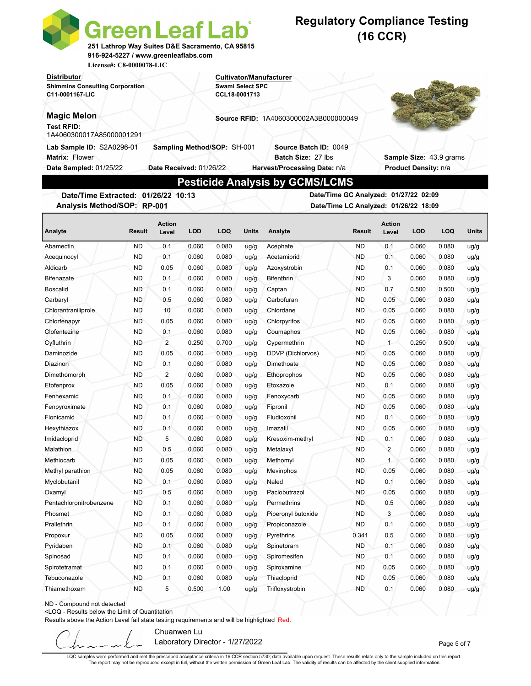|                                                                                                                                                                                                                                                                                                                           | <b>Green Leaf Lab</b><br>251 Lathrop Way Suites D&E Sacramento, CA 95815<br>916-924-5227 / www.greenleaflabs.com<br>License#: C8-0000078-LIC |                                                        |                                          |                                |              | <b>Regulatory Compliance Testing</b>                                        |                                                                                | $(16$ CCR)             |                      |                         |              |
|---------------------------------------------------------------------------------------------------------------------------------------------------------------------------------------------------------------------------------------------------------------------------------------------------------------------------|----------------------------------------------------------------------------------------------------------------------------------------------|--------------------------------------------------------|------------------------------------------|--------------------------------|--------------|-----------------------------------------------------------------------------|--------------------------------------------------------------------------------|------------------------|----------------------|-------------------------|--------------|
| Distributor<br><b>Shimmins Consulting Corporation</b><br>C11-0001167-LIC                                                                                                                                                                                                                                                  |                                                                                                                                              |                                                        | <b>Swami Select SPC</b><br>CCL18-0001713 | <b>Cultivator/Manufacturer</b> |              |                                                                             |                                                                                |                        |                      |                         |              |
|                                                                                                                                                                                                                                                                                                                           |                                                                                                                                              |                                                        |                                          |                                |              |                                                                             |                                                                                |                        |                      |                         |              |
| <b>Magic Melon</b>                                                                                                                                                                                                                                                                                                        |                                                                                                                                              |                                                        |                                          |                                |              | Source RFID: 1A4060300002A3B000000049                                       |                                                                                |                        |                      |                         |              |
| <b>Test RFID:</b><br>1A4060300017A85000001291                                                                                                                                                                                                                                                                             |                                                                                                                                              |                                                        |                                          |                                |              |                                                                             |                                                                                |                        |                      |                         |              |
| Lab Sample ID: S2A0296-01<br><b>Matrix: Flower</b><br>Date Sampled: 01/25/22                                                                                                                                                                                                                                              |                                                                                                                                              | Sampling Method/SOP: SH-001<br>Date Received: 01/26/22 |                                          |                                |              | Source Batch ID: 0049<br>Batch Size: 27 lbs<br>Harvest/Processing Date: n/a |                                                                                |                        | Product Density: n/a | Sample Size: 43.9 grams |              |
|                                                                                                                                                                                                                                                                                                                           |                                                                                                                                              |                                                        |                                          |                                |              | <b>Pesticide Analysis by GCMS/LCMS</b>                                      |                                                                                |                        |                      |                         |              |
| Date/Time Extracted: 01/26/22 10:13<br>Analysis Method/SOP: RP-001                                                                                                                                                                                                                                                        |                                                                                                                                              |                                                        |                                          |                                |              |                                                                             | Date/Time GC Analyzed: 01/27/22 02:09<br>Date/Time LC Analyzed: 01/26/22 18:09 |                        |                      |                         |              |
|                                                                                                                                                                                                                                                                                                                           |                                                                                                                                              |                                                        |                                          |                                |              |                                                                             |                                                                                |                        |                      |                         |              |
|                                                                                                                                                                                                                                                                                                                           | Result                                                                                                                                       | <b>Action</b><br>Level                                 | <b>LOD</b>                               | <b>LOQ</b>                     | Units        | Analyte                                                                     | <b>Result</b>                                                                  | <b>Action</b><br>Level | <b>LOD</b>           | LOQ                     | <b>Units</b> |
|                                                                                                                                                                                                                                                                                                                           | <b>ND</b>                                                                                                                                    | 0.1                                                    | 0.060                                    | 0.080                          | uq/q         | Acephate                                                                    | <b>ND</b>                                                                      | 0.1                    | 0.060                | 0.080                   | ug/g         |
|                                                                                                                                                                                                                                                                                                                           | <b>ND</b>                                                                                                                                    | 0.1                                                    | 0.060                                    | 0.080                          | ug/g         | Acetamiprid                                                                 | <b>ND</b>                                                                      | 0.1                    | 0.060                | 0.080                   | ug/g         |
|                                                                                                                                                                                                                                                                                                                           | <b>ND</b>                                                                                                                                    | 0.05                                                   | 0.060                                    | 0.080                          | ug/g         | Azoxystrobin                                                                | <b>ND</b>                                                                      | 0.1                    | 0.060                | 0.080                   | ug/g         |
|                                                                                                                                                                                                                                                                                                                           | <b>ND</b>                                                                                                                                    | 0.1                                                    | 0.060                                    | 0.080                          | ug/g         | Bifenthrin                                                                  | <b>ND</b>                                                                      | 3                      | 0.060                | 0.080                   | ug/g         |
|                                                                                                                                                                                                                                                                                                                           | ND                                                                                                                                           | 0.1                                                    | 0.060                                    | 0.080                          | ug/g         | Captan                                                                      | ND.                                                                            | 0.7                    | 0.500                | 0.500                   | ug/g         |
|                                                                                                                                                                                                                                                                                                                           | ND.                                                                                                                                          | 0.5                                                    | 0.060                                    | 0.080                          | ug/g         | Carbofuran                                                                  | <b>ND</b>                                                                      | 0.05                   | 0.060                | 0.080                   | ug/g         |
|                                                                                                                                                                                                                                                                                                                           | <b>ND</b>                                                                                                                                    | 10                                                     | 0.060                                    | 0.080                          |              | Chlordane                                                                   | <b>ND</b>                                                                      | 0.05                   | 0.060                | 0.080                   |              |
|                                                                                                                                                                                                                                                                                                                           | <b>ND</b>                                                                                                                                    | 0.05                                                   | 0.060                                    | 0.080                          | ug/g<br>ug/g | Chlorpyrifos                                                                | <b>ND</b>                                                                      | 0.05                   | 0.060                | 0.080                   | ug/g<br>ug/g |
|                                                                                                                                                                                                                                                                                                                           | ND                                                                                                                                           | 0.1                                                    | 0.060                                    | 0.080                          | uq/q         | Coumaphos                                                                   | ND.                                                                            | 0.05                   | 0.060                | 0.080                   |              |
|                                                                                                                                                                                                                                                                                                                           | ND.                                                                                                                                          | $\overline{2}$                                         | 0.250                                    | 0.700                          | uq/q         | Cypermethrin                                                                | <b>ND</b>                                                                      | $1 -$                  | 0.250                | 0.500                   | ug/g         |
|                                                                                                                                                                                                                                                                                                                           | <b>ND</b>                                                                                                                                    | 0.05                                                   | 0.060                                    | 0.080                          |              |                                                                             | <b>ND</b>                                                                      | 0.05                   | 0.060                | 0.080                   | ug/g         |
|                                                                                                                                                                                                                                                                                                                           | <b>ND</b>                                                                                                                                    | 0.1                                                    | 0.060                                    | 0.080                          | ug/g<br>uq/q | DDVP (Dichlorvos)<br>Dimethoate                                             | <b>ND</b>                                                                      | 0.05                   | 0.060                | 0.080                   | ug/g         |
|                                                                                                                                                                                                                                                                                                                           | ND                                                                                                                                           | 2                                                      | 0.060                                    | 0.080                          | uq/q         | Ethoprophos                                                                 | <b>ND</b>                                                                      | 0.05                   | 0.060                | 0.080                   | ug/g         |
|                                                                                                                                                                                                                                                                                                                           |                                                                                                                                              |                                                        |                                          |                                |              | Etoxazole                                                                   |                                                                                |                        |                      |                         | ug/g         |
|                                                                                                                                                                                                                                                                                                                           | ND<br><b>ND</b>                                                                                                                              | 0.05                                                   | 0.060<br>0.060                           | 0.080<br>0.080                 | ug/g         | Fenoxycarb                                                                  | ND.<br>ND                                                                      | 0.1<br>0.05            | 0.060                | 0.080<br>0.080          | ug/g         |
|                                                                                                                                                                                                                                                                                                                           |                                                                                                                                              | 0.1                                                    |                                          |                                | ug/g         |                                                                             |                                                                                |                        | 0.060                |                         | ug/g         |
|                                                                                                                                                                                                                                                                                                                           | ND                                                                                                                                           | 0.1                                                    | 0.060                                    | 0.080                          | ug/g         | Fipronil                                                                    | <b>ND</b>                                                                      | 0.05                   | 0.060                | 0.080                   | ug/g         |
|                                                                                                                                                                                                                                                                                                                           | ND                                                                                                                                           | 0.1                                                    | 0.060                                    | 0.080                          | ug/g         | Fludioxonil                                                                 | ND                                                                             | 0.1                    | 0.060                | 0.080                   | ug/g         |
|                                                                                                                                                                                                                                                                                                                           | ND                                                                                                                                           | 0.1                                                    | 0.060                                    | 0.080                          | ug/g         | Imazalil                                                                    | <b>ND</b>                                                                      | 0.05                   | 0.060                | 0.080                   | ug/g         |
| Analyte<br>Abamectin<br>Acequinocyl<br>Aldicarb<br><b>Bifenazate</b><br><b>Boscalid</b><br>Carbaryl<br>Chlorantraniliprole<br>Chlorfenapyr<br>Clofentezine<br>Cyfluthrin<br>Daminozide<br>Diazinon<br>Dimethomorph<br>Etofenprox<br>Fenhexamid<br>Fenpyroximate<br>Flonicamid<br>Hexythiazox<br>Imidacloprid<br>Malathion | <b>ND</b><br><b>ND</b>                                                                                                                       | 5<br>0.5                                               | 0.060<br>0.060                           | 0.080<br>0.080                 | ug/g<br>ug/g | Kresoxim-methyl<br>Metalaxyl                                                | <b>ND</b><br><b>ND</b>                                                         | 0.1<br>$\overline{c}$  | 0.060<br>0.060       | 0.080<br>0.080          | ug/g<br>ug/g |

ND - Compound not detected

<LOQ - Results below the Limit of Quantitation

Results above the Action Level fail state testing requirements and will be highlighted Red.

Chuanwen Lu Laboratory Director - 1/27/2022 and 200 and 200 and 200 and 200 and 200 and 200 and 200 and 200 and 200 and 20

LQC samples were performed and met the prescribed acceptance criteria in 16 CCR section 5730; data available upon request. These results relate only to the sample included on this report. The report may not be reproduced except in full, without the written permission of Green Leaf Lab. The validity of results can be affected by the client supplied information.

Methyl parathion ND 0.05 0.060 0.080 ug/g Mevinphos ND 0.05 0.060 0.080 ug/g Myclobutanil ND 0.1 0.060 0.080 ug/g Naled ND 0.1 0.060 0.080 ug/g Oxamyl ND 0.5 0.060 0.080 ug/g Paclobutrazol ND 0.05 0.060 0.080 ug/g Pentachloronitrobenzene ND 0.1 0.060 0.080 ug/g Permethrins ND 0.5 0.060 0.080 ug/g Phosmet ND 0.1 0.060 0.080 ug/g Piperonyl butoxide ND 3 0.060 0.080 ug/g Prallethrin ND 0.1 0.060 0.080 ug/g Propiconazole ND 0.1 0.060 0.080 ug/g Propoxur ND 0.05 0.060 0.080 ug/g Pyrethrins 0.341 0.5 0.060 0.080 ug/g Pyridaben ND 0.1 0.060 0.080 ug/g Spinetoram ND 0.1 0.060 0.080 ug/g Spinosad ND 0.1 0.060 0.080 ug/g Spiromesifen ND 0.1 0.060 0.080 ug/g Spirotetramat ND 0.1 0.060 0.080 ug/g Spiroxamine ND 0.05 0.060 0.080 ug/g Tebuconazole ND 0.1 0.060 0.080 ug/g Thiacloprid ND 0.05 0.060 0.080 ug/g Thiamethoxam ND 5 0.500 1.00 ug/g Trifloxystrobin ND 0.1 0.060 0.080 ug/g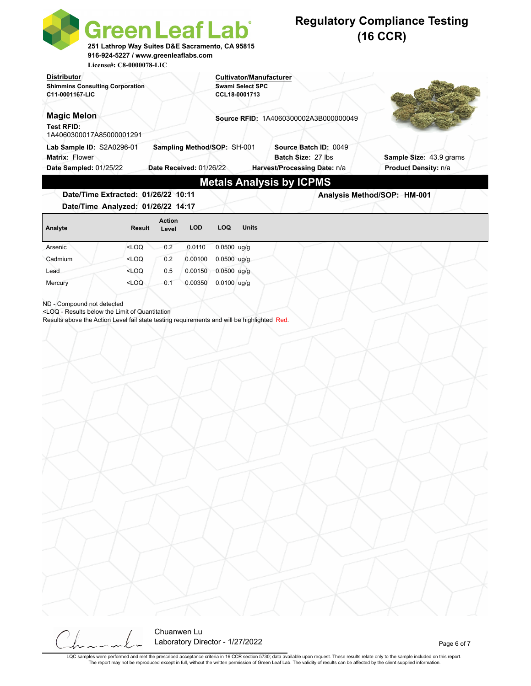|                                                                                                                                                                          | <b>Green Leaf Lab</b><br>251 Lathrop Way Suites D&E Sacramento, CA 95815<br>916-924-5227 / www.greenleaflabs.com |                        |                                                        |               |                                          |                                                                             | <b>Regulatory Compliance Testing</b><br>$(16$ CCR) |
|--------------------------------------------------------------------------------------------------------------------------------------------------------------------------|------------------------------------------------------------------------------------------------------------------|------------------------|--------------------------------------------------------|---------------|------------------------------------------|-----------------------------------------------------------------------------|----------------------------------------------------|
| <b>Distributor</b><br><b>Shimmins Consulting Corporation</b><br>C11-0001167-LIC                                                                                          | License#: C8-0000078-LIC                                                                                         |                        |                                                        |               | <b>Swami Select SPC</b><br>CCL18-0001713 | <b>Cultivator/Manufacturer</b>                                              |                                                    |
| <b>Magic Melon</b><br><b>Test RFID:</b><br>1A4060300017A85000001291                                                                                                      |                                                                                                                  |                        |                                                        |               |                                          | Source RFID: 1A4060300002A3B000000049                                       |                                                    |
| Lab Sample ID: S2A0296-01<br>Matrix: Flower<br>Date Sampled: 01/25/22                                                                                                    |                                                                                                                  |                        | Sampling Method/SOP: SH-001<br>Date Received: 01/26/22 |               |                                          | Source Batch ID: 0049<br>Batch Size: 27 lbs<br>Harvest/Processing Date: n/a | Sample Size: 43.9 grams<br>Product Density: n/a    |
| Date/Time Extracted: 01/26/22 10:11<br>Date/Time Analyzed: 01/26/22 14:17                                                                                                |                                                                                                                  |                        |                                                        |               |                                          | <b>Metals Analysis by ICPMS</b>                                             | Analysis Method/SOP: HM-001                        |
| Analyte                                                                                                                                                                  | <b>Result</b>                                                                                                    | <b>Action</b><br>Level | <b>LOD</b>                                             | <b>LOQ</b>    | <b>Units</b>                             |                                                                             |                                                    |
| Arsenic                                                                                                                                                                  | $<$ LOQ                                                                                                          | 0.2                    | 0.0110                                                 | $0.0500$ ug/g |                                          |                                                                             |                                                    |
| Cadmium                                                                                                                                                                  | <loq< td=""><td>0.2</td><td>0.00100</td><td><math>0.0500</math> ug/g</td><td></td><td></td><td></td></loq<>      | 0.2                    | 0.00100                                                | $0.0500$ ug/g |                                          |                                                                             |                                                    |
| Lead                                                                                                                                                                     | $<$ LOQ                                                                                                          | 0.5                    | 0.00150                                                | $0.0500$ ug/g |                                          |                                                                             |                                                    |
| Mercury                                                                                                                                                                  | <loq< th=""><th>0.1</th><th>0.00350</th><th><math>0.0100</math> ug/g</th><th></th><th></th><th></th></loq<>      | 0.1                    | 0.00350                                                | $0.0100$ ug/g |                                          |                                                                             |                                                    |
| <loq -="" below="" limit="" of="" quantitation<br="" results="" the="">Results above the Action Level fail state testing requirements and will be highlighted Red.</loq> |                                                                                                                  |                        |                                                        |               |                                          |                                                                             |                                                    |
|                                                                                                                                                                          |                                                                                                                  |                        |                                                        |               |                                          |                                                                             |                                                    |